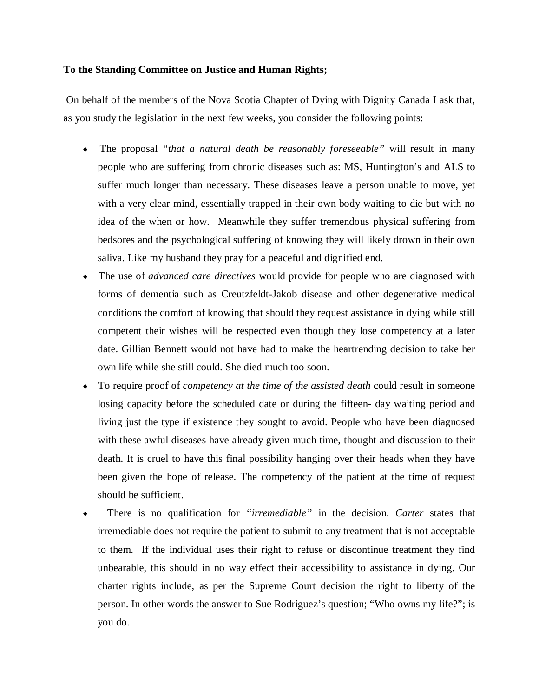## **To the Standing Committee on Justice and Human Rights;**

On behalf of the members of the Nova Scotia Chapter of Dying with Dignity Canada I ask that, as you study the legislation in the next few weeks, you consider the following points:

- ♦ The proposal *"that a natural death be reasonably foreseeable"* will result in many people who are suffering from chronic diseases such as: MS, Huntington's and ALS to suffer much longer than necessary. These diseases leave a person unable to move, yet with a very clear mind, essentially trapped in their own body waiting to die but with no idea of the when or how. Meanwhile they suffer tremendous physical suffering from bedsores and the psychological suffering of knowing they will likely drown in their own saliva. Like my husband they pray for a peaceful and dignified end.
- ♦ The use of *advanced care directives* would provide for people who are diagnosed with forms of dementia such as Creutzfeldt-Jakob disease and other degenerative medical conditions the comfort of knowing that should they request assistance in dying while still competent their wishes will be respected even though they lose competency at a later date. Gillian Bennett would not have had to make the heartrending decision to take her own life while she still could. She died much too soon.
- ♦ To require proof of *competency at the time of the assisted death* could result in someone losing capacity before the scheduled date or during the fifteen- day waiting period and living just the type if existence they sought to avoid. People who have been diagnosed with these awful diseases have already given much time, thought and discussion to their death. It is cruel to have this final possibility hanging over their heads when they have been given the hope of release. The competency of the patient at the time of request should be sufficient.
- There is no qualification for *"irremediable"* in the decision. *Carter* states that irremediable does not require the patient to submit to any treatment that is not acceptable to them. If the individual uses their right to refuse or discontinue treatment they find unbearable, this should in no way effect their accessibility to assistance in dying. Our charter rights include, as per the Supreme Court decision the right to liberty of the person. In other words the answer to Sue Rodriguez's question; "Who owns my life?"; is you do.